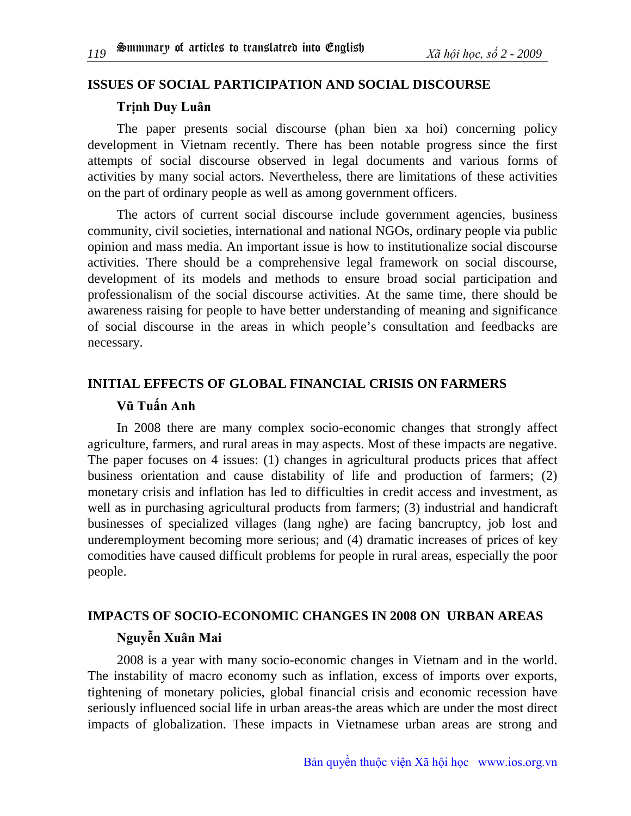#### **ISSUES OF SOCIAL PARTICIPATION AND SOCIAL DISCOURSE**

#### **Trịnh Duy Luân**

The paper presents social discourse (phan bien xa hoi) concerning policy development in Vietnam recently. There has been notable progress since the first attempts of social discourse observed in legal documents and various forms of activities by many social actors. Nevertheless, there are limitations of these activities on the part of ordinary people as well as among government officers.

The actors of current social discourse include government agencies, business community, civil societies, international and national NGOs, ordinary people via public opinion and mass media. An important issue is how to institutionalize social discourse activities. There should be a comprehensive legal framework on social discourse, development of its models and methods to ensure broad social participation and professionalism of the social discourse activities. At the same time, there should be awareness raising for people to have better understanding of meaning and significance of social discourse in the areas in which people's consultation and feedbacks are necessary.

# **INITIAL EFFECTS OF GLOBAL FINANCIAL CRISIS ON FARMERS Vũ Tuấn Anh**

In 2008 there are many complex socio-economic changes that strongly affect agriculture, farmers, and rural areas in may aspects. Most of these impacts are negative. The paper focuses on 4 issues: (1) changes in agricultural products prices that affect business orientation and cause distability of life and production of farmers; (2) monetary crisis and inflation has led to difficulties in credit access and investment, as well as in purchasing agricultural products from farmers; (3) industrial and handicraft businesses of specialized villages (lang nghe) are facing bancruptcy, job lost and underemployment becoming more serious; and (4) dramatic increases of prices of key comodities have caused difficult problems for people in rural areas, especially the poor people.

## **IMPACTS OF SOCIO-ECONOMIC CHANGES IN 2008 ON URBAN AREAS Nguyễn Xuân Mai**

2008 is a year with many socio-economic changes in Vietnam and in the world. The instability of macro economy such as inflation, excess of imports over exports, tightening of monetary policies, global financial crisis and economic recession have seriously influenced social life in urban areas-the areas which are under the most direct impacts of globalization. These impacts in Vietnamese urban areas are strong and